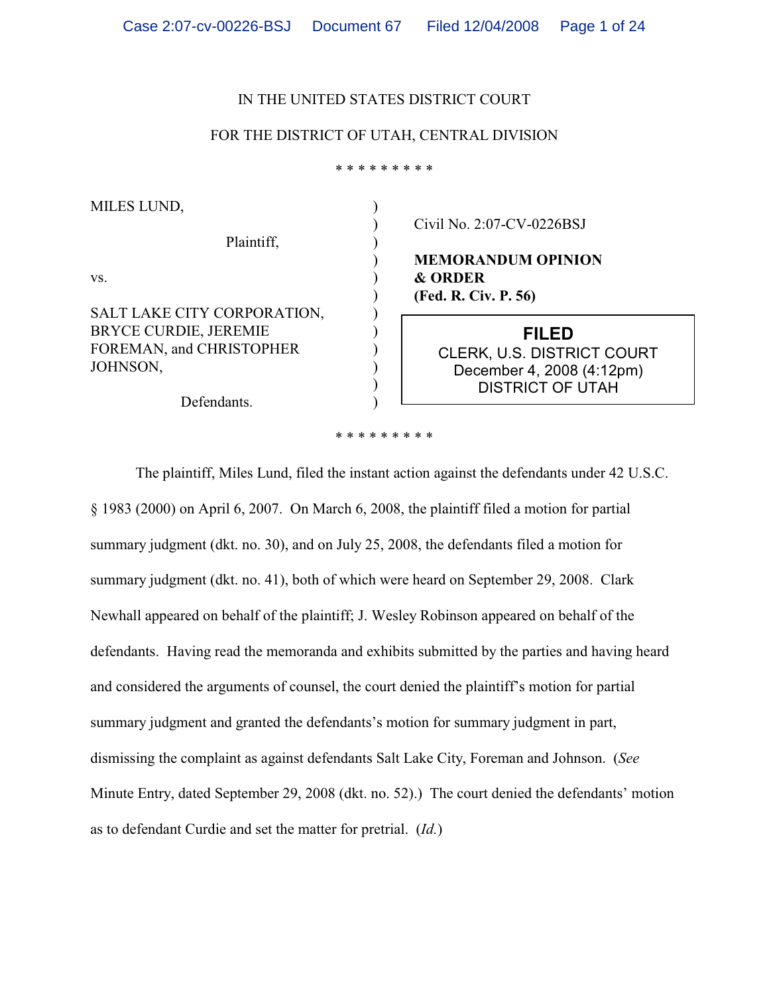### IN THE UNITED STATES DISTRICT COURT

### FOR THE DISTRICT OF UTAH, CENTRAL DIVISION

\* \* \* \* \* \* \* \* \*

) ) ) ) ) ) ) ) ) ) ) )

MILES LUND, Plaintiff, vs. SALT LAKE CITY CORPORATION, BRYCE CURDIE, JEREMIE FOREMAN, and CHRISTOPHER JOHNSON,

Defendants.

Civil No. 2:07-CV-0226BSJ

**MEMORANDUM OPINION & ORDER (Fed. R. Civ. P. 56)**

> **FILED** CLERK, U.S. DISTRICT COURT December 4, 2008 (4:12pm) DISTRICT OF UTAH

\* \* \* \* \* \* \* \* \*

The plaintiff, Miles Lund, filed the instant action against the defendants under 42 U.S.C. § 1983 (2000) on April 6, 2007. On March 6, 2008, the plaintiff filed a motion for partial summary judgment (dkt. no. 30), and on July 25, 2008, the defendants filed a motion for summary judgment (dkt. no. 41), both of which were heard on September 29, 2008. Clark Newhall appeared on behalf of the plaintiff; J. Wesley Robinson appeared on behalf of the defendants. Having read the memoranda and exhibits submitted by the parties and having heard and considered the arguments of counsel, the court denied the plaintiff's motion for partial summary judgment and granted the defendants's motion for summary judgment in part, dismissing the complaint as against defendants Salt Lake City, Foreman and Johnson. (*See* Minute Entry, dated September 29, 2008 (dkt. no. 52).) The court denied the defendants' motion as to defendant Curdie and set the matter for pretrial. (*Id.*)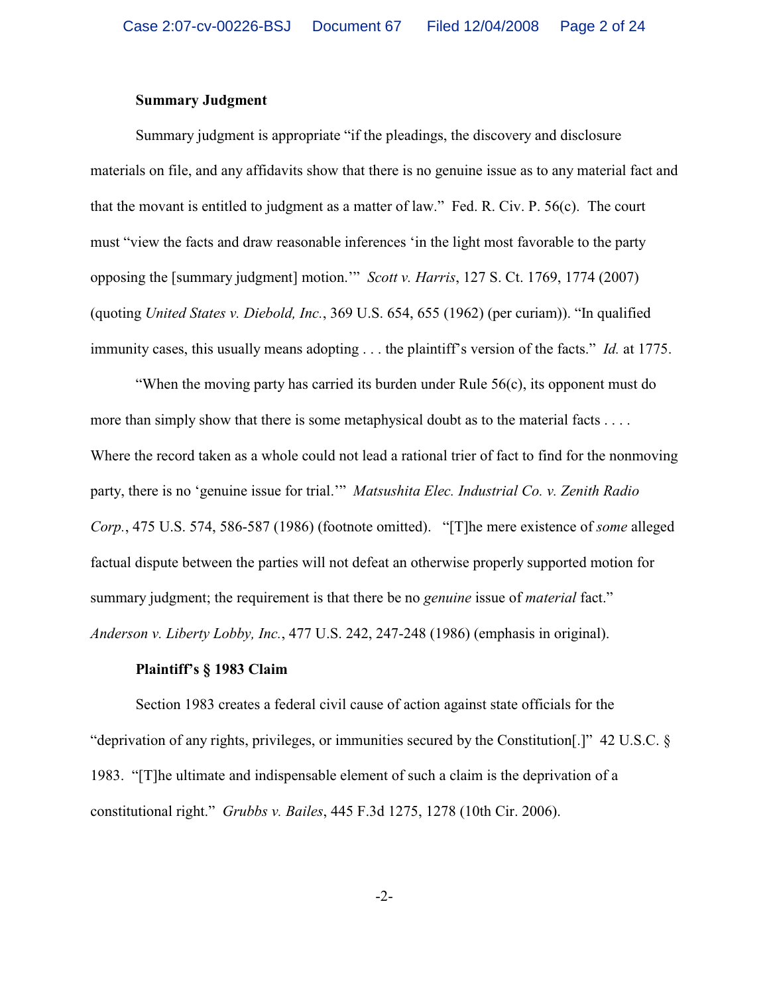### **Summary Judgment**

Summary judgment is appropriate "if the pleadings, the discovery and disclosure materials on file, and any affidavits show that there is no genuine issue as to any material fact and that the movant is entitled to judgment as a matter of law." Fed. R. Civ. P. 56(c). The court must "view the facts and draw reasonable inferences 'in the light most favorable to the party opposing the [summary judgment] motion.'" *Scott v. Harris*, 127 S. Ct. 1769, 1774 (2007) (quoting *United States v. Diebold, Inc.*, 369 U.S. 654, 655 (1962) (per curiam)). "In qualified immunity cases, this usually means adopting . . . the plaintiff's version of the facts." *Id.* at 1775.

"When the moving party has carried its burden under Rule 56(c), its opponent must do more than simply show that there is some metaphysical doubt as to the material facts . . . . Where the record taken as a whole could not lead a rational trier of fact to find for the nonmoving party, there is no 'genuine issue for trial.'" *Matsushita Elec. Industrial Co. v. Zenith Radio Corp.*, 475 U.S. 574, 586-587 (1986) (footnote omitted). "[T]he mere existence of *some* alleged factual dispute between the parties will not defeat an otherwise properly supported motion for summary judgment; the requirement is that there be no *genuine* issue of *material* fact." *Anderson v. Liberty Lobby, Inc.*, 477 U.S. 242, 247-248 (1986) (emphasis in original).

## **Plaintiff's § 1983 Claim**

Section 1983 creates a federal civil cause of action against state officials for the "deprivation of any rights, privileges, or immunities secured by the Constitution[.]" 42 U.S.C. § 1983. "[T]he ultimate and indispensable element of such a claim is the deprivation of a constitutional right." *Grubbs v. Bailes*, 445 F.3d 1275, 1278 (10th Cir. 2006).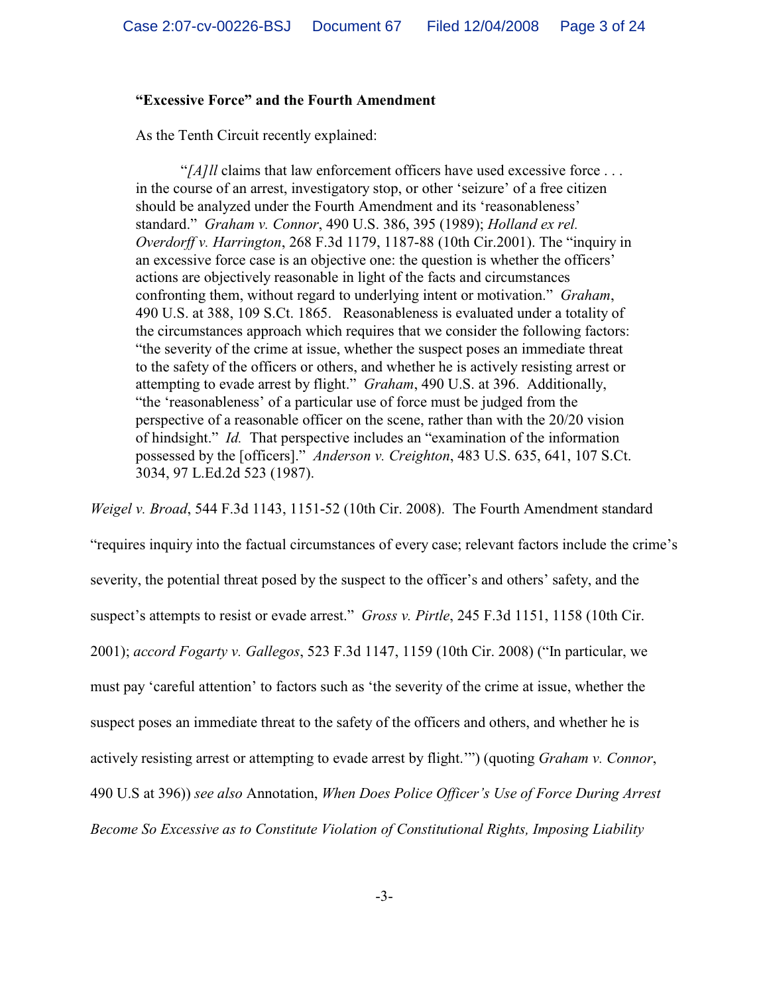# **"Excessive Force" and the Fourth Amendment**

As the Tenth Circuit recently explained:

"[A]*ll* claims that law enforcement officers have used excessive force ... in the course of an arrest, investigatory stop, or other 'seizure' of a free citizen should be analyzed under the Fourth Amendment and its 'reasonableness' standard." *Graham v. Connor*, 490 U.S. 386, 395 (1989); *Holland ex rel. Overdorff v. Harrington*, 268 F.3d 1179, 1187-88 (10th Cir.2001). The "inquiry in an excessive force case is an objective one: the question is whether the officers' actions are objectively reasonable in light of the facts and circumstances confronting them, without regard to underlying intent or motivation." *Graham*, 490 U.S. at 388, 109 S.Ct. 1865. Reasonableness is evaluated under a totality of the circumstances approach which requires that we consider the following factors: "the severity of the crime at issue, whether the suspect poses an immediate threat to the safety of the officers or others, and whether he is actively resisting arrest or attempting to evade arrest by flight." *Graham*, 490 U.S. at 396. Additionally, "the 'reasonableness' of a particular use of force must be judged from the perspective of a reasonable officer on the scene, rather than with the 20/20 vision of hindsight." *Id.* That perspective includes an "examination of the information possessed by the [officers]." *Anderson v. Creighton*, 483 U.S. 635, 641, 107 S.Ct. 3034, 97 L.Ed.2d 523 (1987).

*Weigel v. Broad*, 544 F.3d 1143, 1151-52 (10th Cir. 2008). The Fourth Amendment standard

"requires inquiry into the factual circumstances of every case; relevant factors include the crime's severity, the potential threat posed by the suspect to the officer's and others' safety, and the suspect's attempts to resist or evade arrest." *Gross v. Pirtle*, 245 F.3d 1151, 1158 (10th Cir. 2001); *accord Fogarty v. Gallegos*, 523 F.3d 1147, 1159 (10th Cir. 2008) ("In particular, we must pay 'careful attention' to factors such as 'the severity of the crime at issue, whether the suspect poses an immediate threat to the safety of the officers and others, and whether he is actively resisting arrest or attempting to evade arrest by flight.'") (quoting *Graham v. Connor*, 490 U.S at 396)) *see also* Annotation, *When Does Police Officer's Use of Force During Arrest Become So Excessive as to Constitute Violation of Constitutional Rights, Imposing Liability*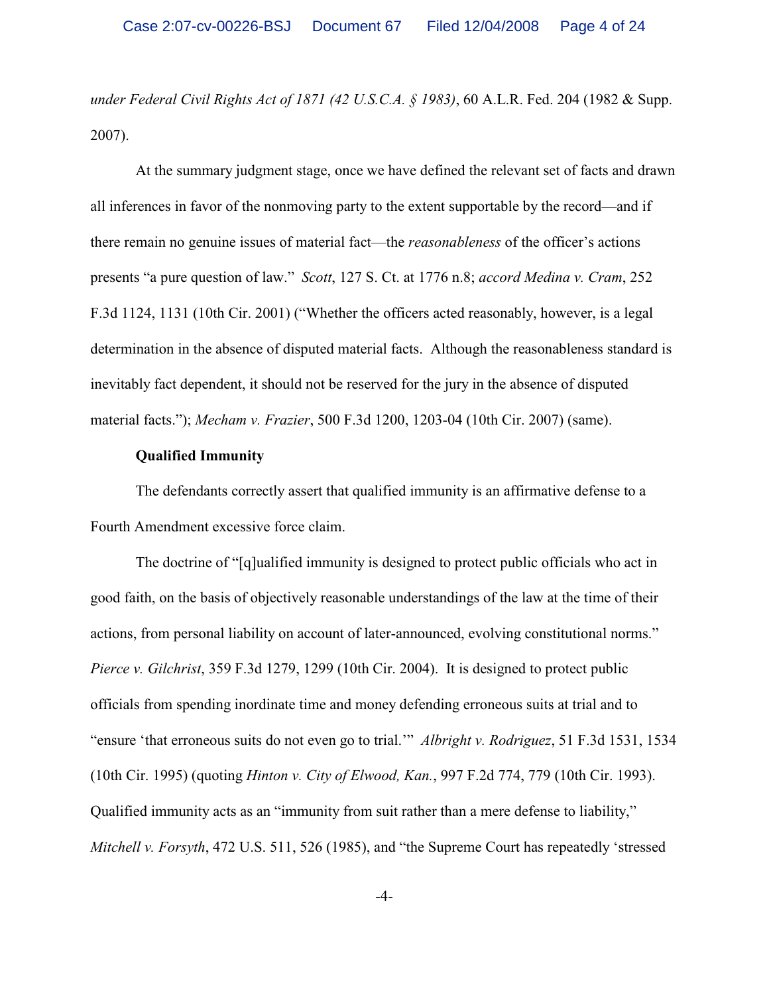*under Federal Civil Rights Act of 1871 (42 U.S.C.A. § 1983)*, 60 A.L.R. Fed. 204 (1982 & Supp. 2007).

At the summary judgment stage, once we have defined the relevant set of facts and drawn all inferences in favor of the nonmoving party to the extent supportable by the record—and if there remain no genuine issues of material fact—the *reasonableness* of the officer's actions presents "a pure question of law." *Scott*, 127 S. Ct. at 1776 n.8; *accord Medina v. Cram*, 252 F.3d 1124, 1131 (10th Cir. 2001) ("Whether the officers acted reasonably, however, is a legal determination in the absence of disputed material facts. Although the reasonableness standard is inevitably fact dependent, it should not be reserved for the jury in the absence of disputed material facts."); *Mecham v. Frazier*, 500 F.3d 1200, 1203-04 (10th Cir. 2007) (same).

## **Qualified Immunity**

The defendants correctly assert that qualified immunity is an affirmative defense to a Fourth Amendment excessive force claim.

The doctrine of "[q]ualified immunity is designed to protect public officials who act in good faith, on the basis of objectively reasonable understandings of the law at the time of their actions, from personal liability on account of later-announced, evolving constitutional norms." *Pierce v. Gilchrist*, 359 F.3d 1279, 1299 (10th Cir. 2004). It is designed to protect public officials from spending inordinate time and money defending erroneous suits at trial and to "ensure 'that erroneous suits do not even go to trial.'" *Albright v. Rodriguez*, 51 F.3d 1531, 1534 (10th Cir. 1995) (quoting *Hinton v. City of Elwood, Kan.*, 997 F.2d 774, 779 (10th Cir. 1993). Qualified immunity acts as an "immunity from suit rather than a mere defense to liability," *Mitchell v. Forsyth*, 472 U.S. 511, 526 (1985), and "the Supreme Court has repeatedly 'stressed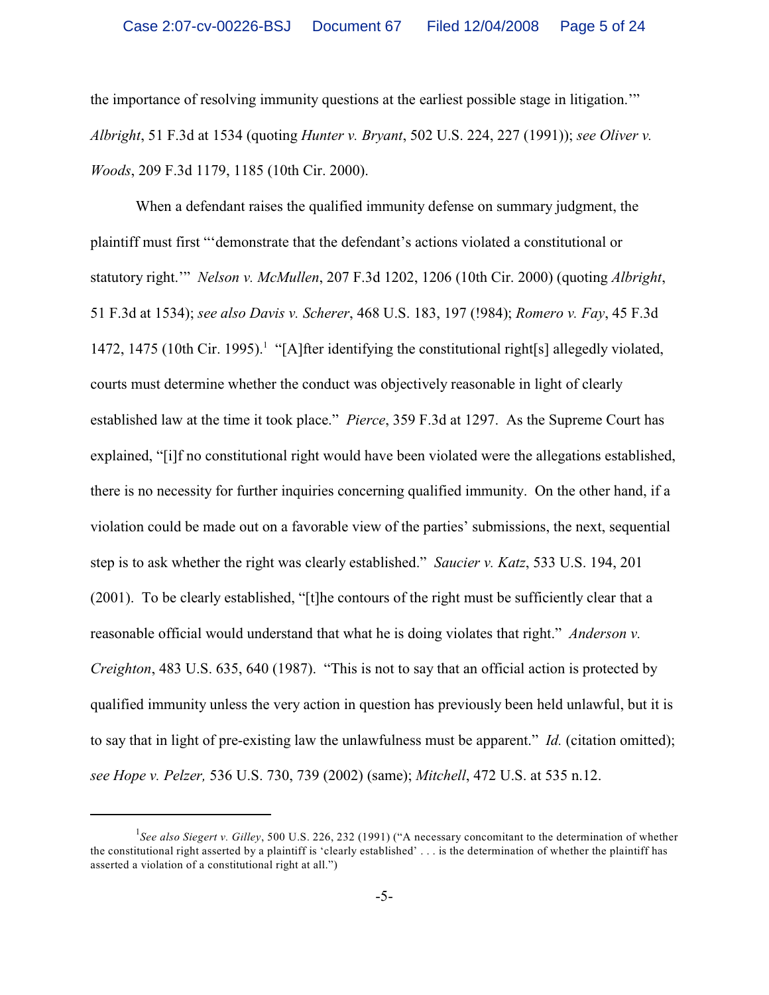the importance of resolving immunity questions at the earliest possible stage in litigation.'" *Albright*, 51 F.3d at 1534 (quoting *Hunter v. Bryant*, 502 U.S. 224, 227 (1991)); *see Oliver v. Woods*, 209 F.3d 1179, 1185 (10th Cir. 2000).

When a defendant raises the qualified immunity defense on summary judgment, the plaintiff must first "'demonstrate that the defendant's actions violated a constitutional or statutory right.'" *Nelson v. McMullen*, 207 F.3d 1202, 1206 (10th Cir. 2000) (quoting *Albright*, 51 F.3d at 1534); *see also Davis v. Scherer*, 468 U.S. 183, 197 (!984); *Romero v. Fay*, 45 F.3d 1472, 1475 (10th Cir. 1995).<sup>1</sup> "[A]fter identifying the constitutional right[s] allegedly violated, courts must determine whether the conduct was objectively reasonable in light of clearly established law at the time it took place." *Pierce*, 359 F.3d at 1297. As the Supreme Court has explained, "[i]f no constitutional right would have been violated were the allegations established, there is no necessity for further inquiries concerning qualified immunity. On the other hand, if a violation could be made out on a favorable view of the parties' submissions, the next, sequential step is to ask whether the right was clearly established." *Saucier v. Katz*, 533 U.S. 194, 201 (2001). To be clearly established, "[t]he contours of the right must be sufficiently clear that a reasonable official would understand that what he is doing violates that right." *Anderson v. Creighton*, 483 U.S. 635, 640 (1987). "This is not to say that an official action is protected by qualified immunity unless the very action in question has previously been held unlawful, but it is to say that in light of pre-existing law the unlawfulness must be apparent." *Id.* (citation omitted); *see Hope v. Pelzer,* 536 U.S. 730, 739 (2002) (same); *Mitchell*, 472 U.S. at 535 n.12.

<sup>&</sup>lt;sup>1</sup>See also Siegert v. Gillev, 500 U.S. 226, 232 (1991) ("A necessary concomitant to the determination of whether the constitutional right asserted by a plaintiff is 'clearly established' . . . is the determination of whether the plaintiff has asserted a violation of a constitutional right at all.")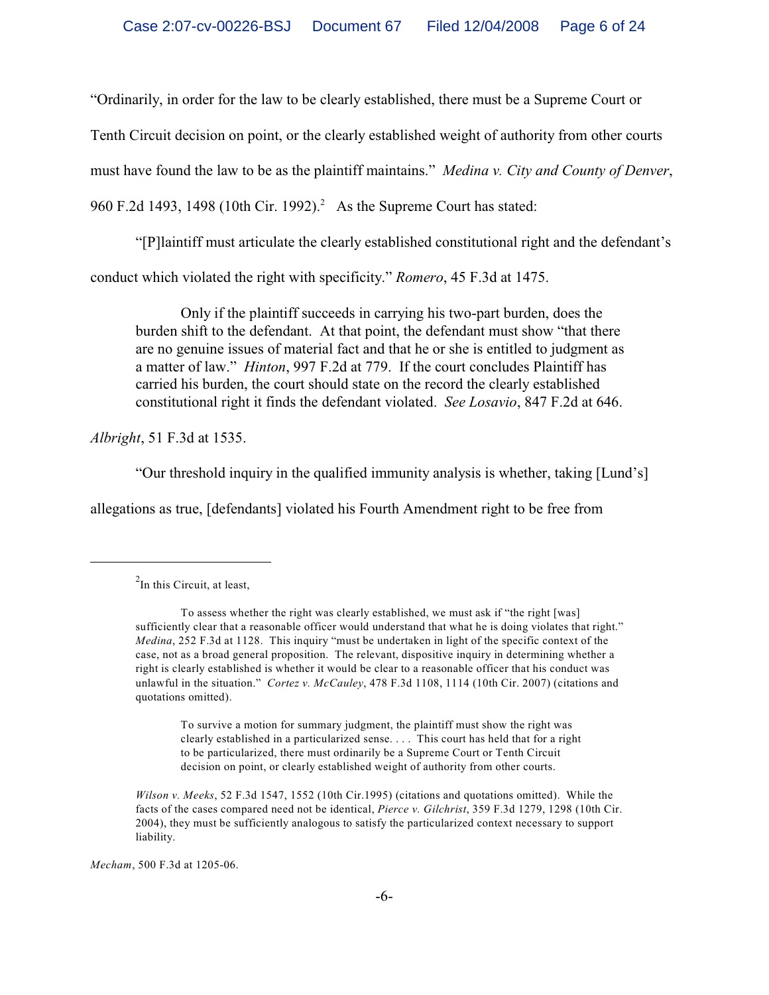"Ordinarily, in order for the law to be clearly established, there must be a Supreme Court or

Tenth Circuit decision on point, or the clearly established weight of authority from other courts

must have found the law to be as the plaintiff maintains." *Medina v. City and County of Denver*,

960 F.2d 1493, 1498 (10th Cir. 1992).<sup>2</sup> As the Supreme Court has stated:

"[P]laintiff must articulate the clearly established constitutional right and the defendant's

conduct which violated the right with specificity." *Romero*, 45 F.3d at 1475.

Only if the plaintiff succeeds in carrying his two-part burden, does the burden shift to the defendant. At that point, the defendant must show "that there are no genuine issues of material fact and that he or she is entitled to judgment as a matter of law." *Hinton*, 997 F.2d at 779. If the court concludes Plaintiff has carried his burden, the court should state on the record the clearly established constitutional right it finds the defendant violated. *See Losavio*, 847 F.2d at 646.

*Albright*, 51 F.3d at 1535.

"Our threshold inquiry in the qualified immunity analysis is whether, taking [Lund's]

allegations as true, [defendants] violated his Fourth Amendment right to be free from

To survive a motion for summary judgment, the plaintiff must show the right was clearly established in a particularized sense. . . . This court has held that for a right to be particularized, there must ordinarily be a Supreme Court or Tenth Circuit decision on point, or clearly established weight of authority from other courts.

*Mecham*, 500 F.3d at 1205-06.

 $^{2}$ In this Circuit, at least,

To assess whether the right was clearly established, we must ask if "the right [was] sufficiently clear that a reasonable officer would understand that what he is doing violates that right." *Medina*, 252 F.3d at 1128. This inquiry "must be undertaken in light of the specific context of the case, not as a broad general proposition. The relevant, dispositive inquiry in determining whether a right is clearly established is whether it would be clear to a reasonable officer that his conduct was unlawful in the situation." *Cortez v. McCauley*, 478 F.3d 1108, 1114 (10th Cir. 2007) (citations and quotations omitted).

*Wilson v. Meeks*, 52 F.3d 1547, 1552 (10th Cir.1995) (citations and quotations omitted). While the facts of the cases compared need not be identical, *Pierce v. Gilchrist*, 359 F.3d 1279, 1298 (10th Cir. 2004), they must be sufficiently analogous to satisfy the particularized context necessary to support liability.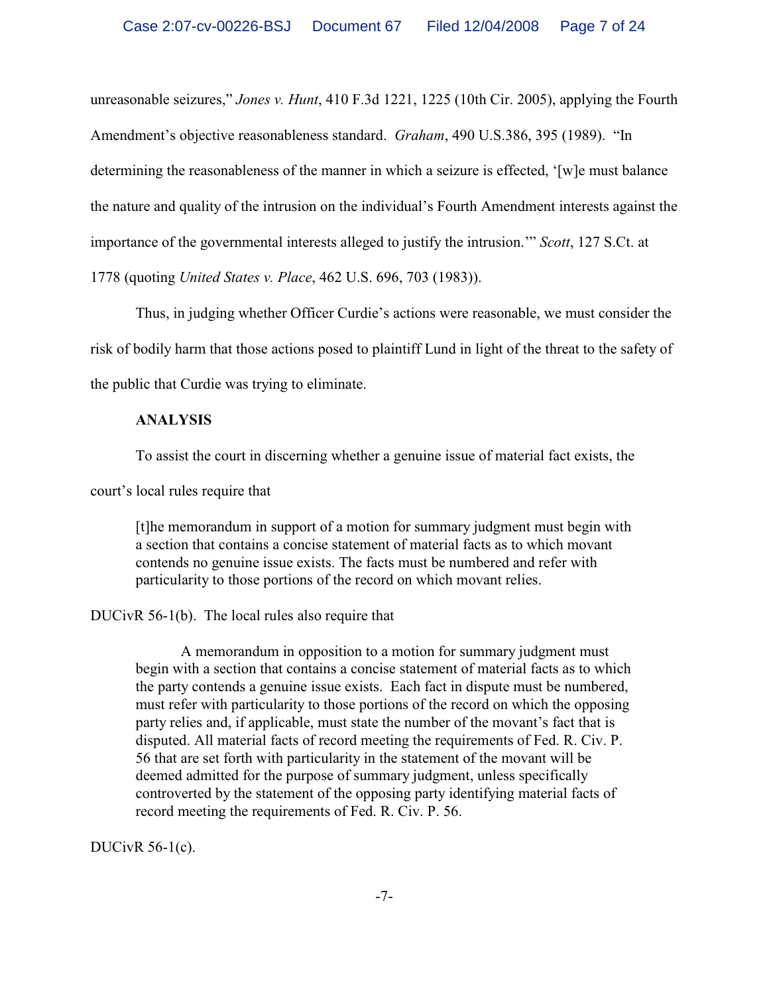unreasonable seizures," *Jones v. Hunt*, 410 F.3d 1221, 1225 (10th Cir. 2005), applying the Fourth Amendment's objective reasonableness standard. *Graham*, 490 U.S.386, 395 (1989). "In determining the reasonableness of the manner in which a seizure is effected, '[w]e must balance the nature and quality of the intrusion on the individual's Fourth Amendment interests against the importance of the governmental interests alleged to justify the intrusion.'" *Scott*, 127 S.Ct. at 1778 (quoting *United States v. Place*, 462 U.S. 696, 703 (1983)).

Thus, in judging whether Officer Curdie's actions were reasonable, we must consider the risk of bodily harm that those actions posed to plaintiff Lund in light of the threat to the safety of the public that Curdie was trying to eliminate.

## **ANALYSIS**

To assist the court in discerning whether a genuine issue of material fact exists, the

court's local rules require that

[t]he memorandum in support of a motion for summary judgment must begin with a section that contains a concise statement of material facts as to which movant contends no genuine issue exists. The facts must be numbered and refer with particularity to those portions of the record on which movant relies.

# DUCivR 56-1(b). The local rules also require that

A memorandum in opposition to a motion for summary judgment must begin with a section that contains a concise statement of material facts as to which the party contends a genuine issue exists. Each fact in dispute must be numbered, must refer with particularity to those portions of the record on which the opposing party relies and, if applicable, must state the number of the movant's fact that is disputed. All material facts of record meeting the requirements of Fed. R. Civ. P. 56 that are set forth with particularity in the statement of the movant will be deemed admitted for the purpose of summary judgment, unless specifically controverted by the statement of the opposing party identifying material facts of record meeting the requirements of Fed. R. Civ. P. 56.

DUCivR 56-1(c).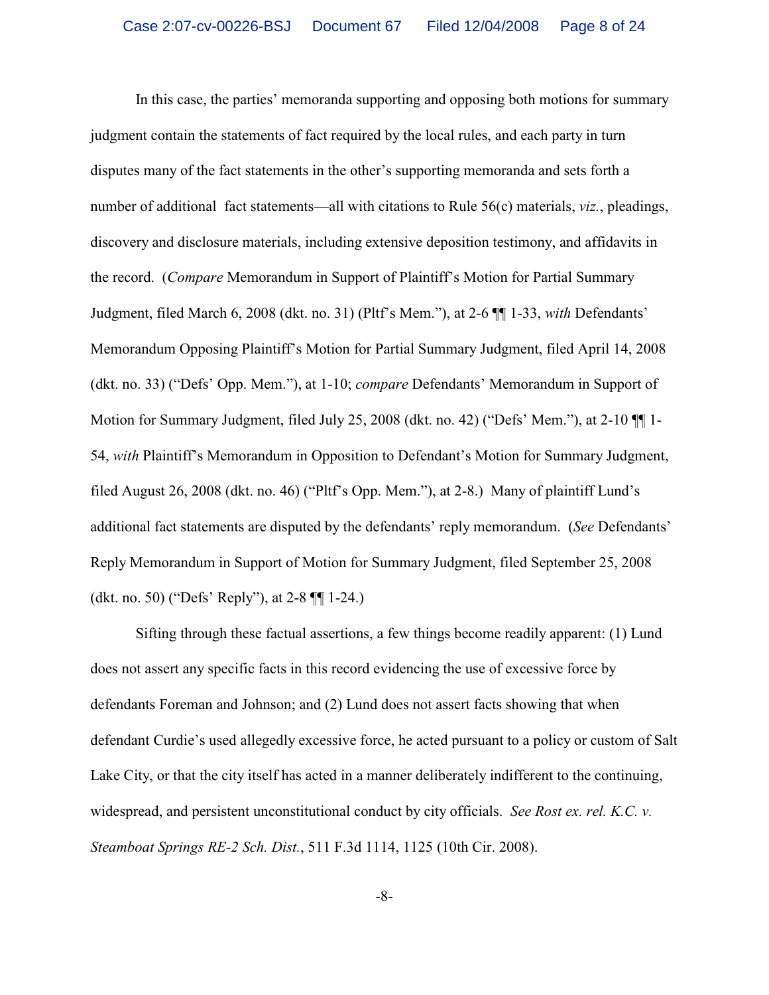In this case, the parties' memoranda supporting and opposing both motions for summary judgment contain the statements of fact required by the local rules, and each party in turn disputes many of the fact statements in the other's supporting memoranda and sets forth a number of additional fact statements—all with citations to Rule 56(c) materials, *viz.*, pleadings, discovery and disclosure materials, including extensive deposition testimony, and affidavits in the record. (*Compare* Memorandum in Support of Plaintiff's Motion for Partial Summary Judgment, filed March 6, 2008 (dkt. no. 31) (Pltf's Mem."), at 2-6 ¶¶ 1-33, *with* Defendants' Memorandum Opposing Plaintiff's Motion for Partial Summary Judgment, filed April 14, 2008 (dkt. no. 33) ("Defs' Opp. Mem."), at 1-10; *compare* Defendants' Memorandum in Support of Motion for Summary Judgment, filed July 25, 2008 (dkt. no. 42) ("Defs' Mem."), at 2-10  $\P\P$ 1-54, *with* Plaintiff's Memorandum in Opposition to Defendant's Motion for Summary Judgment, filed August 26, 2008 (dkt. no. 46) ("Pltf's Opp. Mem."), at 2-8.) Many of plaintiff Lund's additional fact statements are disputed by the defendants' reply memorandum. (*See* Defendants' Reply Memorandum in Support of Motion for Summary Judgment, filed September 25, 2008 (dkt. no. 50) ("Defs' Reply"), at 2-8 ¶¶ 1-24.)

Sifting through these factual assertions, a few things become readily apparent: (1) Lund does not assert any specific facts in this record evidencing the use of excessive force by defendants Foreman and Johnson; and (2) Lund does not assert facts showing that when defendant Curdie's used allegedly excessive force, he acted pursuant to a policy or custom of Salt Lake City, or that the city itself has acted in a manner deliberately indifferent to the continuing, widespread, and persistent unconstitutional conduct by city officials. *See Rost ex. rel. K.C. v. Steamboat Springs RE-2 Sch. Dist.*, 511 F.3d 1114, 1125 (10th Cir. 2008).

-8-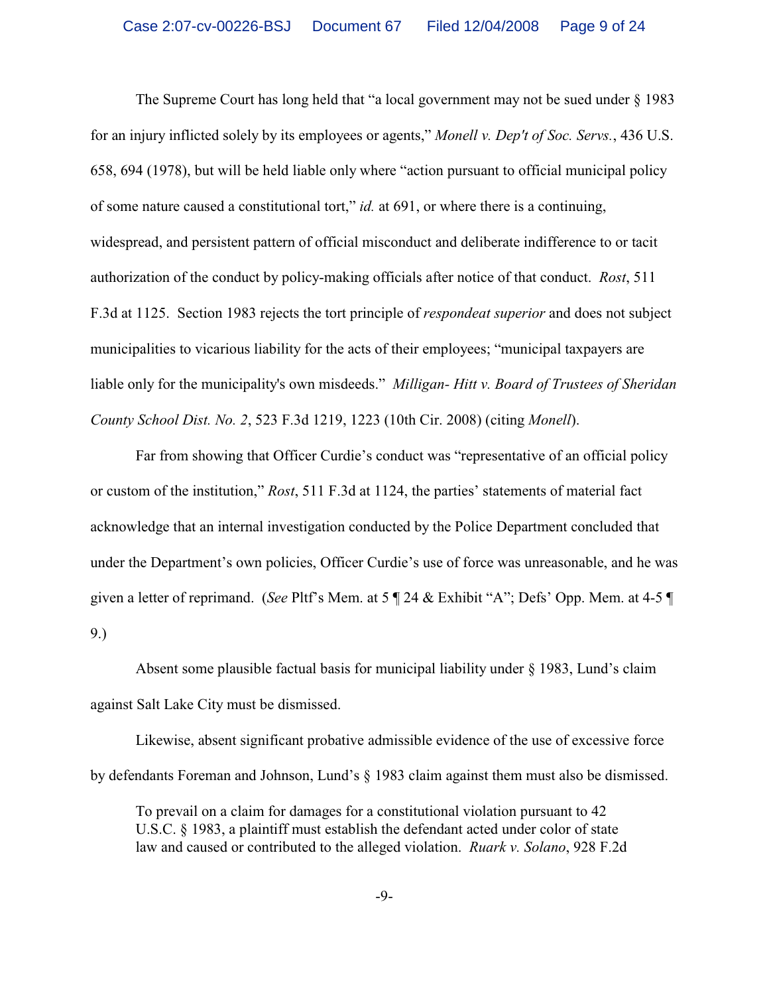The Supreme Court has long held that "a local government may not be sued under § 1983 for an injury inflicted solely by its employees or agents," *Monell v. Dep't of Soc. Servs.*, 436 U.S. 658, 694 (1978), but will be held liable only where "action pursuant to official municipal policy of some nature caused a constitutional tort," *id.* at 691, or where there is a continuing, widespread, and persistent pattern of official misconduct and deliberate indifference to or tacit authorization of the conduct by policy-making officials after notice of that conduct. *Rost*, 511 F.3d at 1125. Section 1983 rejects the tort principle of *respondeat superior* and does not subject municipalities to vicarious liability for the acts of their employees; "municipal taxpayers are liable only for the municipality's own misdeeds." *Milligan- Hitt v. Board of Trustees of Sheridan County School Dist. No. 2*, 523 F.3d 1219, 1223 (10th Cir. 2008) (citing *Monell*).

Far from showing that Officer Curdie's conduct was "representative of an official policy or custom of the institution," *Rost*, 511 F.3d at 1124, the parties' statements of material fact acknowledge that an internal investigation conducted by the Police Department concluded that under the Department's own policies, Officer Curdie's use of force was unreasonable, and he was given a letter of reprimand. (*See* Pltf's Mem. at 5 ¶ 24 & Exhibit "A"; Defs' Opp. Mem. at 4-5 ¶ 9.)

Absent some plausible factual basis for municipal liability under § 1983, Lund's claim against Salt Lake City must be dismissed.

Likewise, absent significant probative admissible evidence of the use of excessive force by defendants Foreman and Johnson, Lund's § 1983 claim against them must also be dismissed.

To prevail on a claim for damages for a constitutional violation pursuant to 42 U.S.C. § 1983, a plaintiff must establish the defendant acted under color of state law and caused or contributed to the alleged violation. *Ruark v. Solano*, 928 F.2d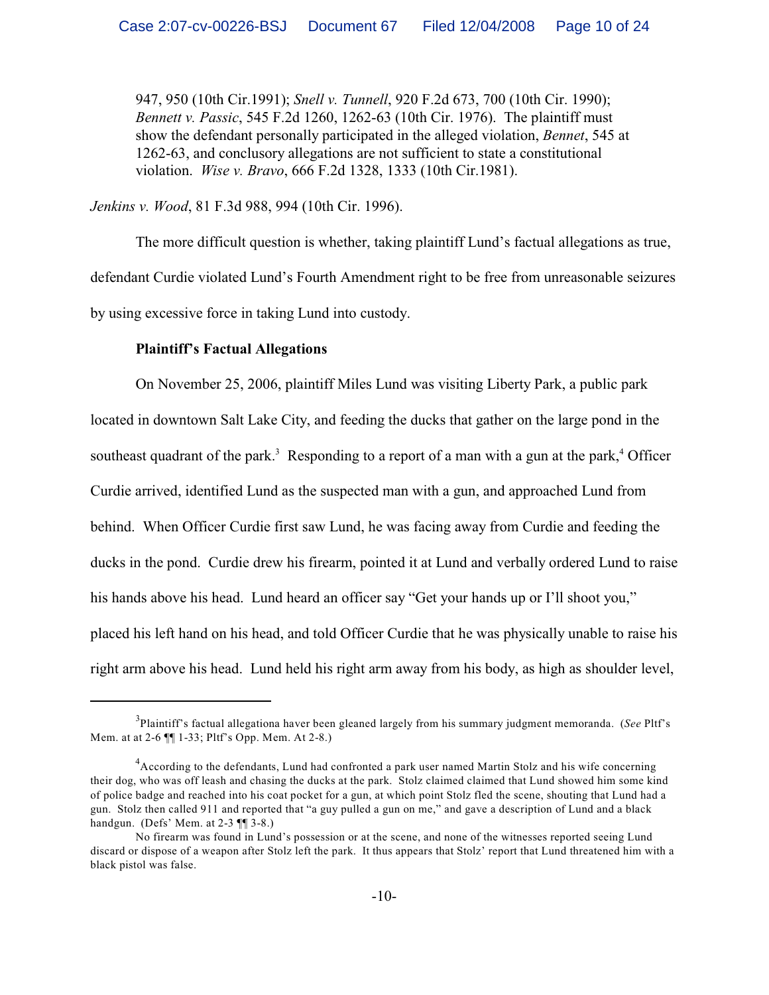947, 950 (10th Cir.1991); *Snell v. Tunnell*, 920 F.2d 673, 700 (10th Cir. 1990); *Bennett v. Passic*, 545 F.2d 1260, 1262-63 (10th Cir. 1976). The plaintiff must show the defendant personally participated in the alleged violation, *Bennet*, 545 at 1262-63, and conclusory allegations are not sufficient to state a constitutional violation. *Wise v. Bravo*, 666 F.2d 1328, 1333 (10th Cir.1981).

*Jenkins v. Wood*, 81 F.3d 988, 994 (10th Cir. 1996).

The more difficult question is whether, taking plaintiff Lund's factual allegations as true, defendant Curdie violated Lund's Fourth Amendment right to be free from unreasonable seizures by using excessive force in taking Lund into custody.

#### **Plaintiff's Factual Allegations**

On November 25, 2006, plaintiff Miles Lund was visiting Liberty Park, a public park located in downtown Salt Lake City, and feeding the ducks that gather on the large pond in the southeast quadrant of the park.<sup>3</sup> Responding to a report of a man with a gun at the park,<sup>4</sup> Officer Curdie arrived, identified Lund as the suspected man with a gun, and approached Lund from behind. When Officer Curdie first saw Lund, he was facing away from Curdie and feeding the ducks in the pond. Curdie drew his firearm, pointed it at Lund and verbally ordered Lund to raise his hands above his head. Lund heard an officer say "Get your hands up or I'll shoot you," placed his left hand on his head, and told Officer Curdie that he was physically unable to raise his right arm above his head. Lund held his right arm away from his body, as high as shoulder level,

<sup>&</sup>lt;sup>3</sup>Plaintiff's factual allegationa haver been gleaned largely from his summary judgment memoranda. (*See* Pltf's Mem. at at 2-6 ¶¶ 1-33; Pltf's Opp. Mem. At 2-8.)

<sup>&</sup>lt;sup>4</sup> According to the defendants, Lund had confronted a park user named Martin Stolz and his wife concerning their dog, who was off leash and chasing the ducks at the park. Stolz claimed claimed that Lund showed him some kind of police badge and reached into his coat pocket for a gun, at which point Stolz fled the scene, shouting that Lund had a gun. Stolz then called 911 and reported that "a guy pulled a gun on me," and gave a description of Lund and a black handgun. (Defs' Mem. at 2-3 ¶¶ 3-8.)

No firearm was found in Lund's possession or at the scene, and none of the witnesses reported seeing Lund discard or dispose of a weapon after Stolz left the park. It thus appears that Stolz' report that Lund threatened him with a black pistol was false.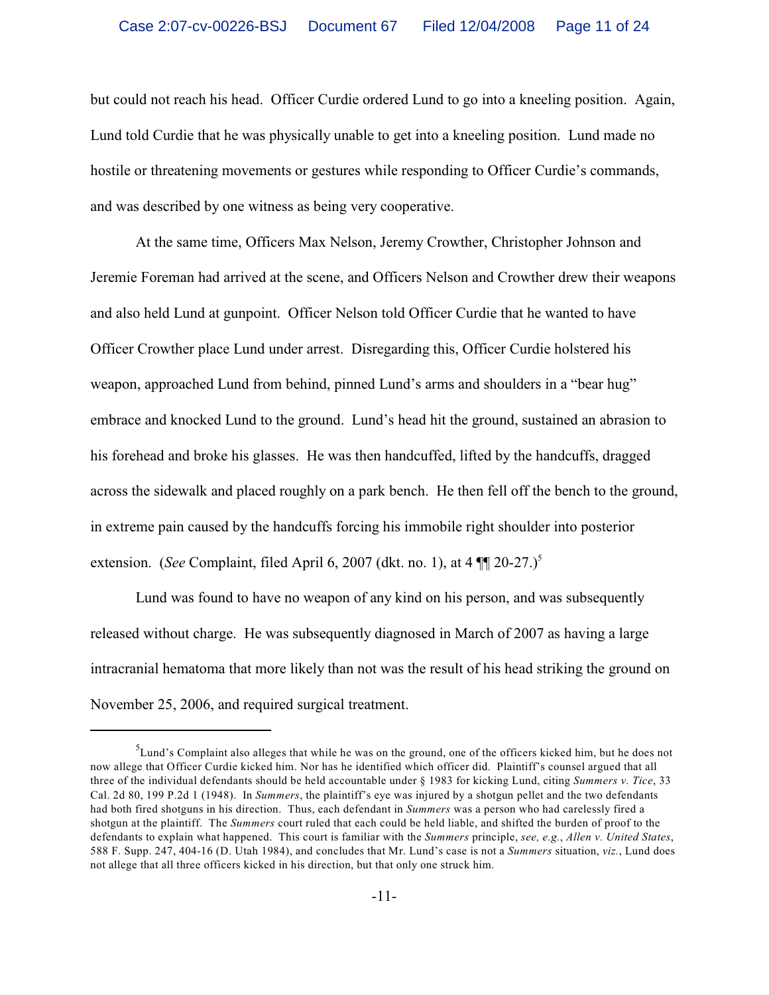but could not reach his head. Officer Curdie ordered Lund to go into a kneeling position. Again, Lund told Curdie that he was physically unable to get into a kneeling position. Lund made no hostile or threatening movements or gestures while responding to Officer Curdie's commands, and was described by one witness as being very cooperative.

At the same time, Officers Max Nelson, Jeremy Crowther, Christopher Johnson and Jeremie Foreman had arrived at the scene, and Officers Nelson and Crowther drew their weapons and also held Lund at gunpoint. Officer Nelson told Officer Curdie that he wanted to have Officer Crowther place Lund under arrest. Disregarding this, Officer Curdie holstered his weapon, approached Lund from behind, pinned Lund's arms and shoulders in a "bear hug" embrace and knocked Lund to the ground. Lund's head hit the ground, sustained an abrasion to his forehead and broke his glasses. He was then handcuffed, lifted by the handcuffs, dragged across the sidewalk and placed roughly on a park bench. He then fell off the bench to the ground, in extreme pain caused by the handcuffs forcing his immobile right shoulder into posterior extension. (*See* Complaint, filed April 6, 2007 (dkt. no. 1), at  $4 \text{ }\mathbb{I} \text{ }\mathbb{I} \text{ } 20\text{-}27.$ )<sup>5</sup>

Lund was found to have no weapon of any kind on his person, and was subsequently released without charge. He was subsequently diagnosed in March of 2007 as having a large intracranial hematoma that more likely than not was the result of his head striking the ground on November 25, 2006, and required surgical treatment.

 ${}^{5}$ Lund's Complaint also alleges that while he was on the ground, one of the officers kicked him, but he does not now allege that Officer Curdie kicked him. Nor has he identified which officer did. Plaintiff's counsel argued that all three of the individual defendants should be held accountable under § 1983 for kicking Lund, citing *Summers v. Tice*, 33 Cal. 2d 80, 199 P.2d 1 (1948). In *Summers*, the plaintiff's eye was injured by a shotgun pellet and the two defendants had both fired shotguns in his direction. Thus, each defendant in *Summers* was a person who had carelessly fired a shotgun at the plaintiff. The *Summers* court ruled that each could be held liable, and shifted the burden of proof to the defendants to explain what happened. This court is familiar with the *Summers* principle, *see, e.g.*, *Allen v. United States*, 588 F. Supp. 247, 404-16 (D. Utah 1984), and concludes that Mr. Lund's case is not a *Summers* situation, *viz.*, Lund does not allege that all three officers kicked in his direction, but that only one struck him.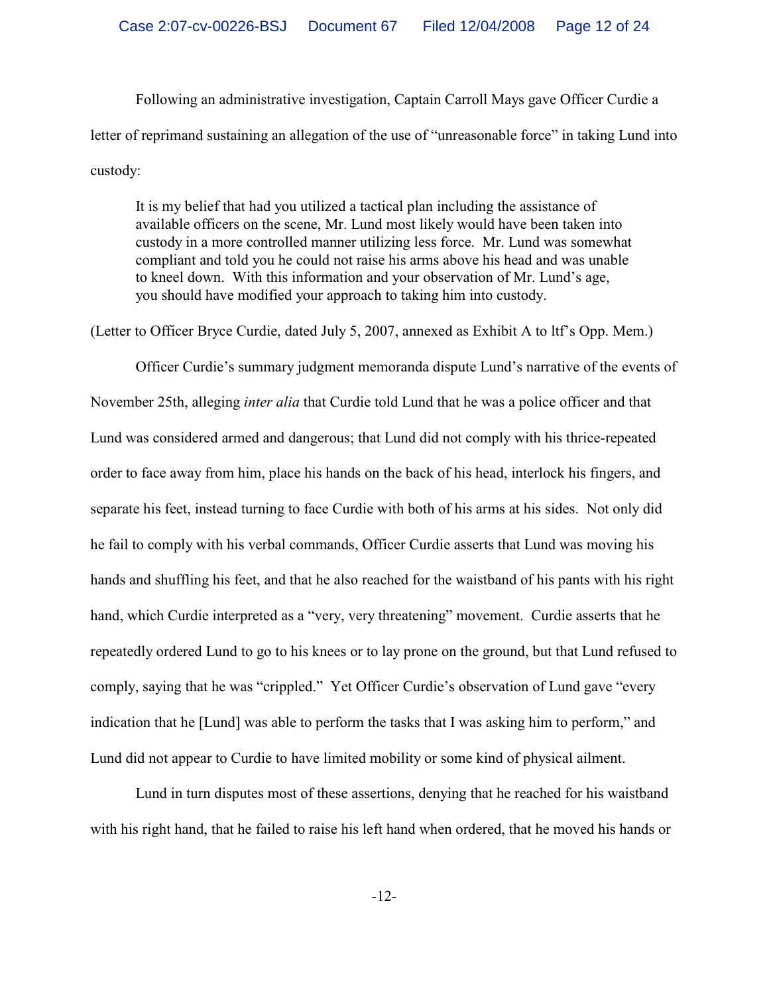Following an administrative investigation, Captain Carroll Mays gave Officer Curdie a letter of reprimand sustaining an allegation of the use of "unreasonable force" in taking Lund into custody:

It is my belief that had you utilized a tactical plan including the assistance of available officers on the scene, Mr. Lund most likely would have been taken into custody in a more controlled manner utilizing less force. Mr. Lund was somewhat compliant and told you he could not raise his arms above his head and was unable to kneel down. With this information and your observation of Mr. Lund's age, you should have modified your approach to taking him into custody.

(Letter to Officer Bryce Curdie, dated July 5, 2007, annexed as Exhibit A to ltf's Opp. Mem.)

Officer Curdie's summary judgment memoranda dispute Lund's narrative of the events of November 25th, alleging *inter alia* that Curdie told Lund that he was a police officer and that Lund was considered armed and dangerous; that Lund did not comply with his thrice-repeated order to face away from him, place his hands on the back of his head, interlock his fingers, and separate his feet, instead turning to face Curdie with both of his arms at his sides. Not only did he fail to comply with his verbal commands, Officer Curdie asserts that Lund was moving his hands and shuffling his feet, and that he also reached for the waistband of his pants with his right hand, which Curdie interpreted as a "very, very threatening" movement. Curdie asserts that he repeatedly ordered Lund to go to his knees or to lay prone on the ground, but that Lund refused to comply, saying that he was "crippled." Yet Officer Curdie's observation of Lund gave "every indication that he [Lund] was able to perform the tasks that I was asking him to perform," and Lund did not appear to Curdie to have limited mobility or some kind of physical ailment.

Lund in turn disputes most of these assertions, denying that he reached for his waistband with his right hand, that he failed to raise his left hand when ordered, that he moved his hands or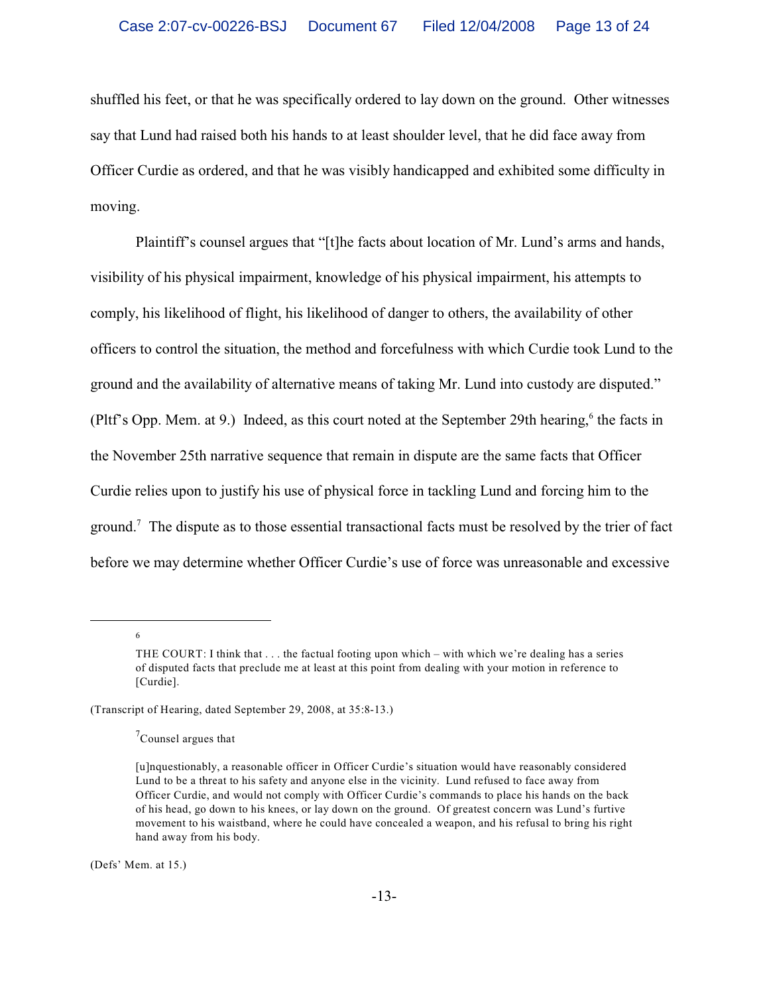shuffled his feet, or that he was specifically ordered to lay down on the ground. Other witnesses say that Lund had raised both his hands to at least shoulder level, that he did face away from Officer Curdie as ordered, and that he was visibly handicapped and exhibited some difficulty in moving.

Plaintiff's counsel argues that "[t]he facts about location of Mr. Lund's arms and hands, visibility of his physical impairment, knowledge of his physical impairment, his attempts to comply, his likelihood of flight, his likelihood of danger to others, the availability of other officers to control the situation, the method and forcefulness with which Curdie took Lund to the ground and the availability of alternative means of taking Mr. Lund into custody are disputed." (Pltf's Opp. Mem. at 9.) Indeed, as this court noted at the September 29th hearing,<sup>6</sup> the facts in the November 25th narrative sequence that remain in dispute are the same facts that Officer Curdie relies upon to justify his use of physical force in tackling Lund and forcing him to the ground.<sup>7</sup> The dispute as to those essential transactional facts must be resolved by the trier of fact before we may determine whether Officer Curdie's use of force was unreasonable and excessive

6

(Defs' Mem. at 15.)

THE COURT: I think that . . . the factual footing upon which – with which we're dealing has a series of disputed facts that preclude me at least at this point from dealing with your motion in reference to [Curdie].

<sup>(</sup>Transcript of Hearing, dated September 29, 2008, at 35:8-13.)

 $\sigma$ <sup>7</sup>Counsel argues that

<sup>[</sup>u]nquestionably, a reasonable officer in Officer Curdie's situation would have reasonably considered Lund to be a threat to his safety and anyone else in the vicinity. Lund refused to face away from Officer Curdie, and would not comply with Officer Curdie's commands to place his hands on the back of his head, go down to his knees, or lay down on the ground. Of greatest concern was Lund's furtive movement to his waistband, where he could have concealed a weapon, and his refusal to bring his right hand away from his body.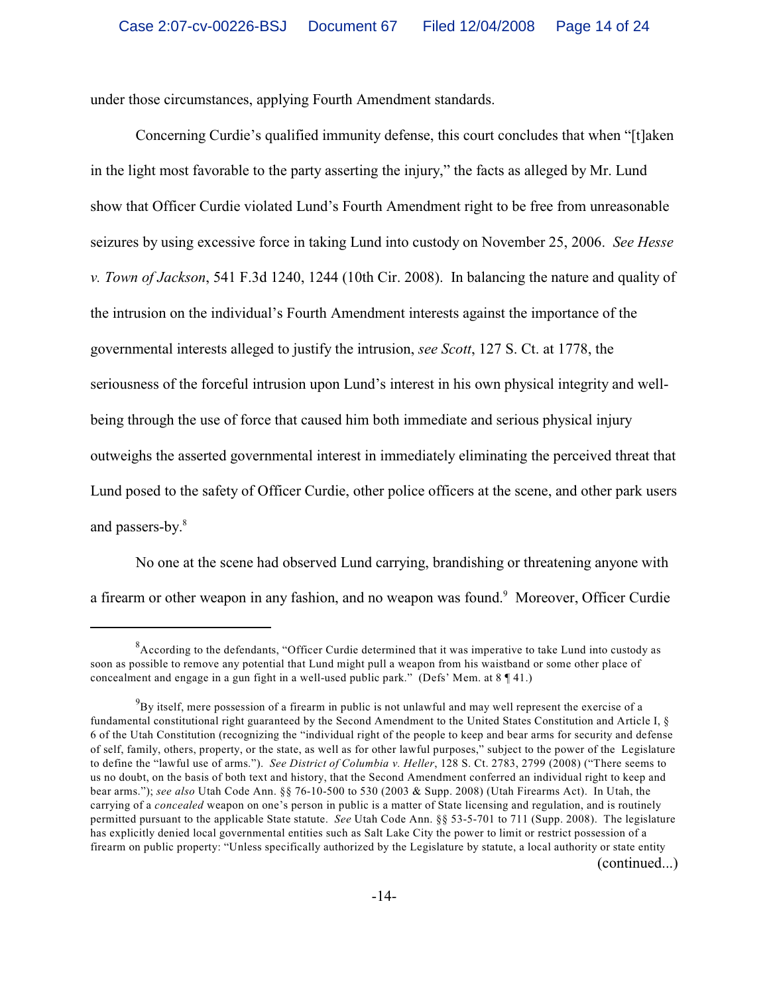under those circumstances, applying Fourth Amendment standards.

Concerning Curdie's qualified immunity defense, this court concludes that when "[t]aken in the light most favorable to the party asserting the injury," the facts as alleged by Mr. Lund show that Officer Curdie violated Lund's Fourth Amendment right to be free from unreasonable seizures by using excessive force in taking Lund into custody on November 25, 2006. *See Hesse v. Town of Jackson*, 541 F.3d 1240, 1244 (10th Cir. 2008). In balancing the nature and quality of the intrusion on the individual's Fourth Amendment interests against the importance of the governmental interests alleged to justify the intrusion, *see Scott*, 127 S. Ct. at 1778, the seriousness of the forceful intrusion upon Lund's interest in his own physical integrity and wellbeing through the use of force that caused him both immediate and serious physical injury outweighs the asserted governmental interest in immediately eliminating the perceived threat that Lund posed to the safety of Officer Curdie, other police officers at the scene, and other park users and passers-by. 8

No one at the scene had observed Lund carrying, brandishing or threatening anyone with a firearm or other weapon in any fashion, and no weapon was found.<sup>9</sup> Moreover, Officer Curdie

 ${}^{8}$ According to the defendants, "Officer Curdie determined that it was imperative to take Lund into custody as soon as possible to remove any potential that Lund might pull a weapon from his waistband or some other place of concealment and engage in a gun fight in a well-used public park." (Defs' Mem. at 8 ¶ 41.)

 $^{9}$ By itself, mere possession of a firearm in public is not unlawful and may well represent the exercise of a fundamental constitutional right guaranteed by the Second Amendment to the United States Constitution and Article I, § 6 of the Utah Constitution (recognizing the "individual right of the people to keep and bear arms for security and defense of self, family, others, property, or the state, as well as for other lawful purposes," subject to the power of the Legislature to define the "lawful use of arms."). *See District of Columbia v. Heller*, 128 S. Ct. 2783, 2799 (2008) ("There seems to us no doubt, on the basis of both text and history, that the Second Amendment conferred an individual right to keep and bear arms."); *see also* Utah Code Ann. §§ 76-10-500 to 530 (2003 & Supp. 2008) (Utah Firearms Act). In Utah, the carrying of a *concealed* weapon on one's person in public is a matter of State licensing and regulation, and is routinely permitted pursuant to the applicable State statute. *See* Utah Code Ann. §§ 53-5-701 to 711 (Supp. 2008). The legislature has explicitly denied local governmental entities such as Salt Lake City the power to limit or restrict possession of a firearm on public property: "Unless specifically authorized by the Legislature by statute, a local authority or state entity (continued...)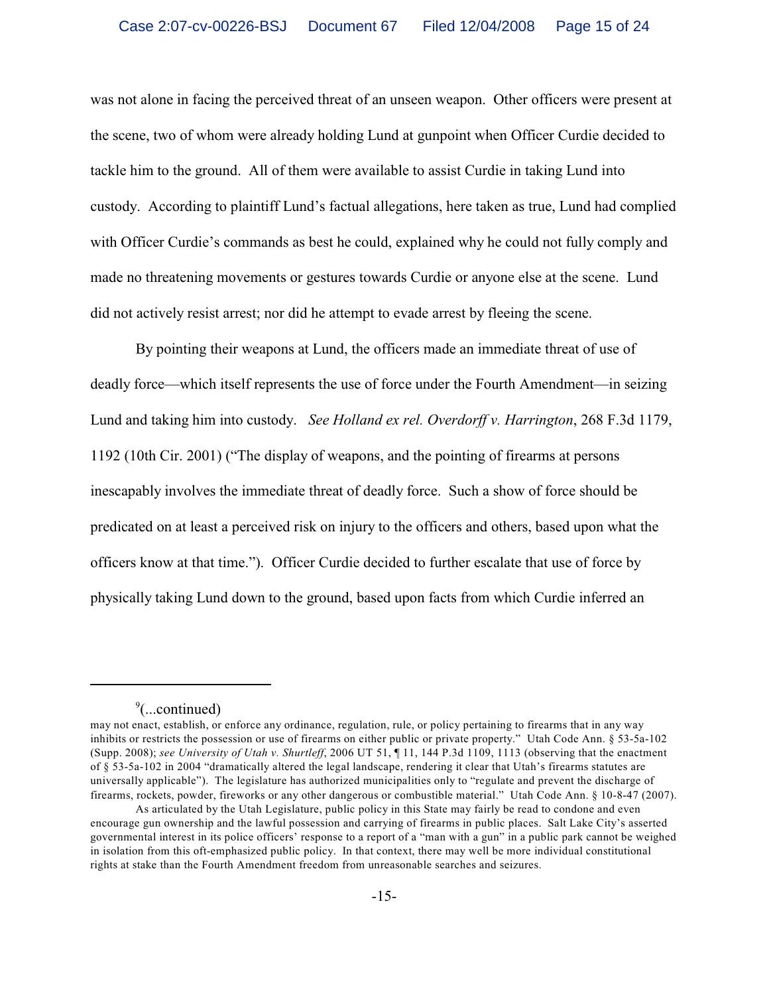was not alone in facing the perceived threat of an unseen weapon. Other officers were present at the scene, two of whom were already holding Lund at gunpoint when Officer Curdie decided to tackle him to the ground. All of them were available to assist Curdie in taking Lund into custody. According to plaintiff Lund's factual allegations, here taken as true, Lund had complied with Officer Curdie's commands as best he could, explained why he could not fully comply and made no threatening movements or gestures towards Curdie or anyone else at the scene. Lund did not actively resist arrest; nor did he attempt to evade arrest by fleeing the scene.

By pointing their weapons at Lund, the officers made an immediate threat of use of deadly force—which itself represents the use of force under the Fourth Amendment—in seizing Lund and taking him into custody. *See Holland ex rel. Overdorff v. Harrington*, 268 F.3d 1179, 1192 (10th Cir. 2001) ("The display of weapons, and the pointing of firearms at persons inescapably involves the immediate threat of deadly force. Such a show of force should be predicated on at least a perceived risk on injury to the officers and others, based upon what the officers know at that time."). Officer Curdie decided to further escalate that use of force by physically taking Lund down to the ground, based upon facts from which Curdie inferred an

 $\degree$ (...continued)

may not enact, establish, or enforce any ordinance, regulation, rule, or policy pertaining to firearms that in any way inhibits or restricts the possession or use of firearms on either public or private property." Utah Code Ann. § 53-5a-102 (Supp. 2008); *see University of Utah v. Shurtleff*, 2006 UT 51, ¶ 11, 144 P.3d 1109, 1113 (observing that the enactment of § 53-5a-102 in 2004 "dramatically altered the legal landscape, rendering it clear that Utah's firearms statutes are universally applicable"). The legislature has authorized municipalities only to "regulate and prevent the discharge of firearms, rockets, powder, fireworks or any other dangerous or combustible material." Utah Code Ann. § 10-8-47 (2007).

As articulated by the Utah Legislature, public policy in this State may fairly be read to condone and even encourage gun ownership and the lawful possession and carrying of firearms in public places. Salt Lake City's asserted governmental interest in its police officers' response to a report of a "man with a gun" in a public park cannot be weighed in isolation from this oft-emphasized public policy. In that context, there may well be more individual constitutional rights at stake than the Fourth Amendment freedom from unreasonable searches and seizures.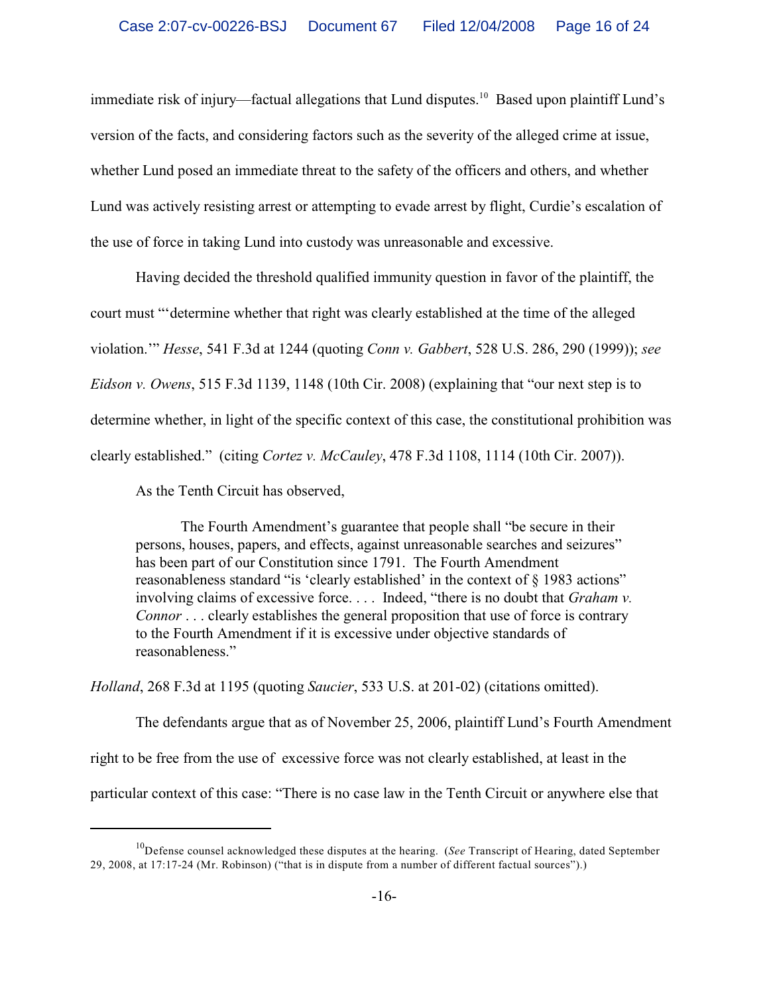immediate risk of injury—factual allegations that Lund disputes.<sup>10</sup> Based upon plaintiff Lund's version of the facts, and considering factors such as the severity of the alleged crime at issue, whether Lund posed an immediate threat to the safety of the officers and others, and whether Lund was actively resisting arrest or attempting to evade arrest by flight, Curdie's escalation of the use of force in taking Lund into custody was unreasonable and excessive.

Having decided the threshold qualified immunity question in favor of the plaintiff, the court must "'determine whether that right was clearly established at the time of the alleged violation.'" *Hesse*, 541 F.3d at 1244 (quoting *Conn v. Gabbert*, 528 U.S. 286, 290 (1999)); *see Eidson v. Owens*, 515 F.3d 1139, 1148 (10th Cir. 2008) (explaining that "our next step is to determine whether, in light of the specific context of this case, the constitutional prohibition was clearly established." (citing *Cortez v. McCauley*, 478 F.3d 1108, 1114 (10th Cir. 2007)).

As the Tenth Circuit has observed,

The Fourth Amendment's guarantee that people shall "be secure in their persons, houses, papers, and effects, against unreasonable searches and seizures" has been part of our Constitution since 1791. The Fourth Amendment reasonableness standard "is 'clearly established' in the context of § 1983 actions" involving claims of excessive force. . . . Indeed, "there is no doubt that *Graham v. Connor* . . . clearly establishes the general proposition that use of force is contrary to the Fourth Amendment if it is excessive under objective standards of reasonableness."

*Holland*, 268 F.3d at 1195 (quoting *Saucier*, 533 U.S. at 201-02) (citations omitted).

The defendants argue that as of November 25, 2006, plaintiff Lund's Fourth Amendment right to be free from the use of excessive force was not clearly established, at least in the particular context of this case: "There is no case law in the Tenth Circuit or anywhere else that

<sup>&</sup>lt;sup>10</sup>Defense counsel acknowledged these disputes at the hearing. (See Transcript of Hearing, dated September 29, 2008, at 17:17-24 (Mr. Robinson) ("that is in dispute from a number of different factual sources").)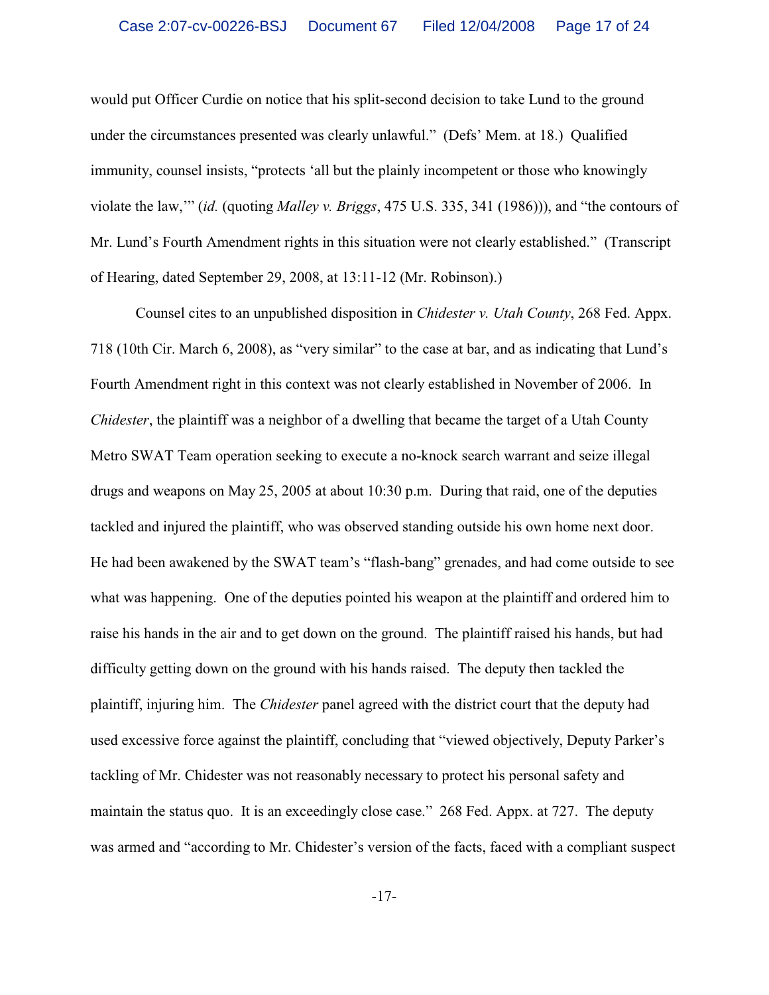would put Officer Curdie on notice that his split-second decision to take Lund to the ground under the circumstances presented was clearly unlawful." (Defs' Mem. at 18.) Qualified immunity, counsel insists, "protects 'all but the plainly incompetent or those who knowingly violate the law,'" (*id.* (quoting *Malley v. Briggs*, 475 U.S. 335, 341 (1986))), and "the contours of Mr. Lund's Fourth Amendment rights in this situation were not clearly established." (Transcript of Hearing, dated September 29, 2008, at 13:11-12 (Mr. Robinson).)

Counsel cites to an unpublished disposition in *Chidester v. Utah County*, 268 Fed. Appx. 718 (10th Cir. March 6, 2008), as "very similar" to the case at bar, and as indicating that Lund's Fourth Amendment right in this context was not clearly established in November of 2006. In *Chidester*, the plaintiff was a neighbor of a dwelling that became the target of a Utah County Metro SWAT Team operation seeking to execute a no-knock search warrant and seize illegal drugs and weapons on May 25, 2005 at about 10:30 p.m. During that raid, one of the deputies tackled and injured the plaintiff, who was observed standing outside his own home next door. He had been awakened by the SWAT team's "flash-bang" grenades, and had come outside to see what was happening. One of the deputies pointed his weapon at the plaintiff and ordered him to raise his hands in the air and to get down on the ground. The plaintiff raised his hands, but had difficulty getting down on the ground with his hands raised. The deputy then tackled the plaintiff, injuring him. The *Chidester* panel agreed with the district court that the deputy had used excessive force against the plaintiff, concluding that "viewed objectively, Deputy Parker's tackling of Mr. Chidester was not reasonably necessary to protect his personal safety and maintain the status quo. It is an exceedingly close case." 268 Fed. Appx. at 727. The deputy was armed and "according to Mr. Chidester's version of the facts, faced with a compliant suspect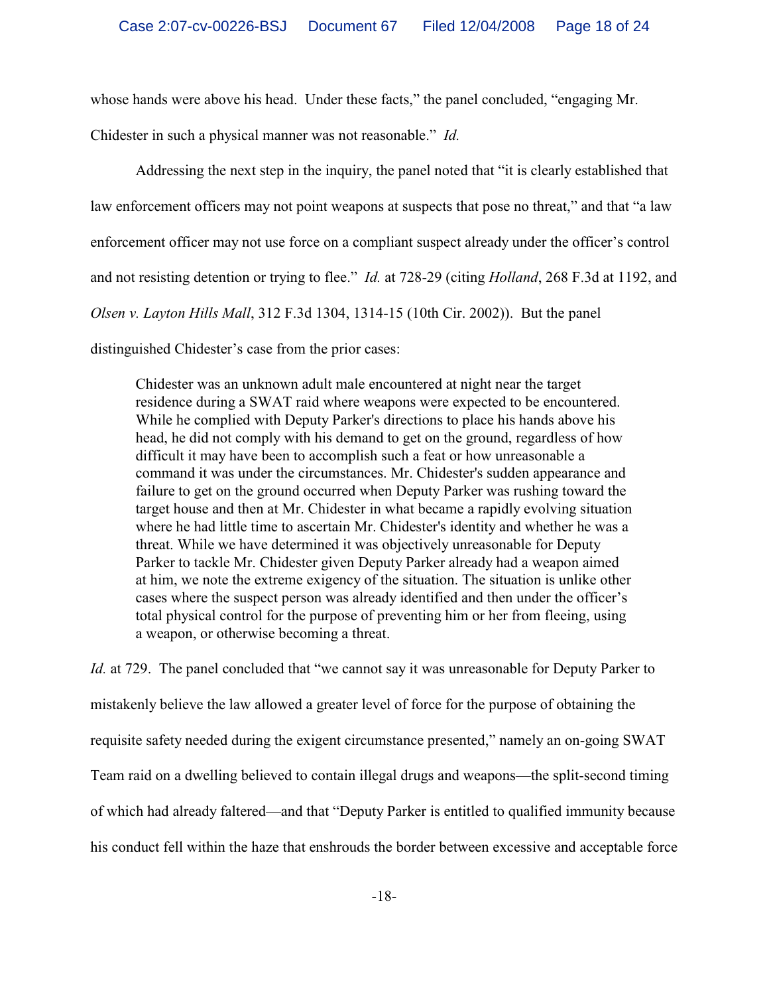whose hands were above his head. Under these facts," the panel concluded, "engaging Mr.

Chidester in such a physical manner was not reasonable." *Id.*

Addressing the next step in the inquiry, the panel noted that "it is clearly established that law enforcement officers may not point weapons at suspects that pose no threat," and that "a law enforcement officer may not use force on a compliant suspect already under the officer's control and not resisting detention or trying to flee." *Id.* at 728-29 (citing *Holland*, 268 F.3d at 1192, and *Olsen v. Layton Hills Mall*, 312 F.3d 1304, 1314-15 (10th Cir. 2002)). But the panel distinguished Chidester's case from the prior cases:

Chidester was an unknown adult male encountered at night near the target residence during a SWAT raid where weapons were expected to be encountered. While he complied with Deputy Parker's directions to place his hands above his head, he did not comply with his demand to get on the ground, regardless of how difficult it may have been to accomplish such a feat or how unreasonable a command it was under the circumstances. Mr. Chidester's sudden appearance and failure to get on the ground occurred when Deputy Parker was rushing toward the target house and then at Mr. Chidester in what became a rapidly evolving situation where he had little time to ascertain Mr. Chidester's identity and whether he was a threat. While we have determined it was objectively unreasonable for Deputy Parker to tackle Mr. Chidester given Deputy Parker already had a weapon aimed at him, we note the extreme exigency of the situation. The situation is unlike other cases where the suspect person was already identified and then under the officer's total physical control for the purpose of preventing him or her from fleeing, using a weapon, or otherwise becoming a threat.

*Id.* at 729. The panel concluded that "we cannot say it was unreasonable for Deputy Parker to mistakenly believe the law allowed a greater level of force for the purpose of obtaining the requisite safety needed during the exigent circumstance presented," namely an on-going SWAT Team raid on a dwelling believed to contain illegal drugs and weapons—the split-second timing of which had already faltered—and that "Deputy Parker is entitled to qualified immunity because his conduct fell within the haze that enshrouds the border between excessive and acceptable force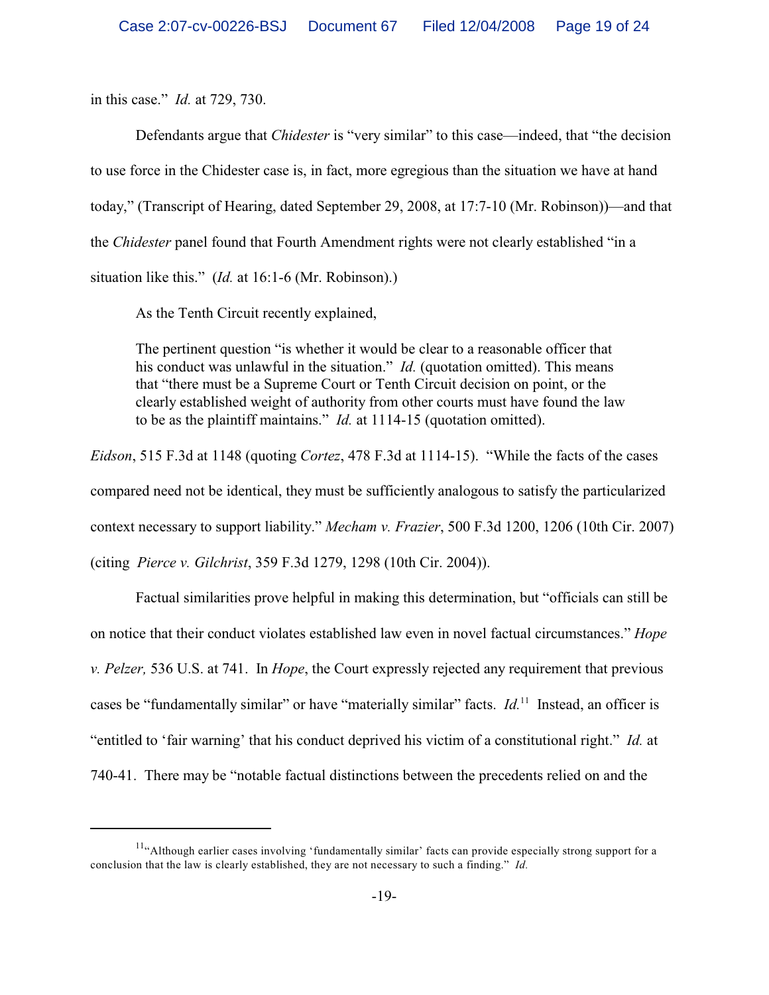in this case." *Id.* at 729, 730.

Defendants argue that *Chidester* is "very similar" to this case—indeed, that "the decision to use force in the Chidester case is, in fact, more egregious than the situation we have at hand today," (Transcript of Hearing, dated September 29, 2008, at 17:7-10 (Mr. Robinson))—and that the *Chidester* panel found that Fourth Amendment rights were not clearly established "in a situation like this." (*Id.* at 16:1-6 (Mr. Robinson).)

As the Tenth Circuit recently explained,

The pertinent question "is whether it would be clear to a reasonable officer that his conduct was unlawful in the situation." *Id.* (quotation omitted). This means that "there must be a Supreme Court or Tenth Circuit decision on point, or the clearly established weight of authority from other courts must have found the law to be as the plaintiff maintains." *Id.* at 1114-15 (quotation omitted).

*Eidson*, 515 F.3d at 1148 (quoting *Cortez*, 478 F.3d at 1114-15). "While the facts of the cases compared need not be identical, they must be sufficiently analogous to satisfy the particularized context necessary to support liability." *Mecham v. Frazier*, 500 F.3d 1200, 1206 (10th Cir. 2007) (citing *Pierce v. Gilchrist*, 359 F.3d 1279, 1298 (10th Cir. 2004)).

Factual similarities prove helpful in making this determination, but "officials can still be on notice that their conduct violates established law even in novel factual circumstances." *Hope v. Pelzer,* 536 U.S. at 741. In *Hope*, the Court expressly rejected any requirement that previous cases be "fundamentally similar" or have "materially similar" facts. *Id*.<sup>11</sup> Instead, an officer is "entitled to 'fair warning' that his conduct deprived his victim of a constitutional right." *Id.* at 740-41. There may be "notable factual distinctions between the precedents relied on and the

 $11\text{°}$ Although earlier cases involving 'fundamentally similar' facts can provide especially strong support for a conclusion that the law is clearly established, they are not necessary to such a finding." *Id.*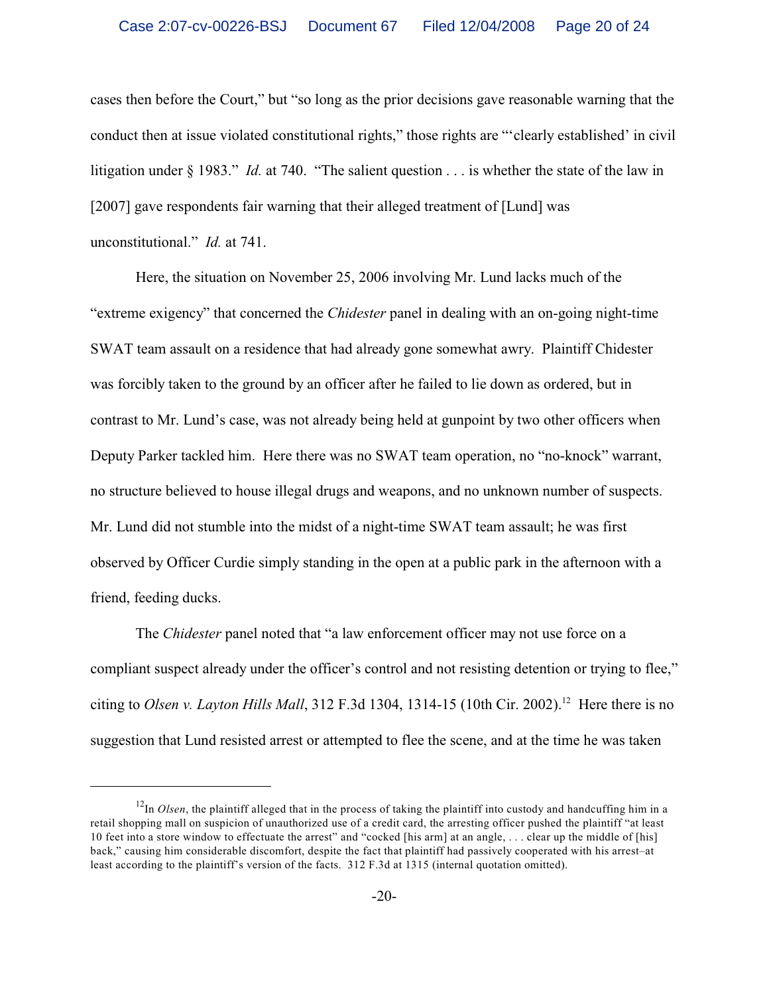cases then before the Court," but "so long as the prior decisions gave reasonable warning that the conduct then at issue violated constitutional rights," those rights are "'clearly established' in civil litigation under § 1983." *Id.* at 740. "The salient question . . . is whether the state of the law in [2007] gave respondents fair warning that their alleged treatment of [Lund] was unconstitutional." *Id.* at 741.

Here, the situation on November 25, 2006 involving Mr. Lund lacks much of the "extreme exigency" that concerned the *Chidester* panel in dealing with an on-going night-time SWAT team assault on a residence that had already gone somewhat awry. Plaintiff Chidester was forcibly taken to the ground by an officer after he failed to lie down as ordered, but in contrast to Mr. Lund's case, was not already being held at gunpoint by two other officers when Deputy Parker tackled him. Here there was no SWAT team operation, no "no-knock" warrant, no structure believed to house illegal drugs and weapons, and no unknown number of suspects. Mr. Lund did not stumble into the midst of a night-time SWAT team assault; he was first observed by Officer Curdie simply standing in the open at a public park in the afternoon with a friend, feeding ducks.

The *Chidester* panel noted that "a law enforcement officer may not use force on a compliant suspect already under the officer's control and not resisting detention or trying to flee," citing to *Olsen v. Layton Hills Mall*, 312 F.3d 1304, 1314-15 (10th Cir. 2002).<sup>12</sup> Here there is no suggestion that Lund resisted arrest or attempted to flee the scene, and at the time he was taken

 $12$ In *Olsen*, the plaintiff alleged that in the process of taking the plaintiff into custody and handcuffing him in a retail shopping mall on suspicion of unauthorized use of a credit card, the arresting officer pushed the plaintiff "at least 10 feet into a store window to effectuate the arrest" and "cocked [his arm] at an angle, . . . clear up the middle of [his] back," causing him considerable discomfort, despite the fact that plaintiff had passively cooperated with his arrest–at least according to the plaintiff's version of the facts. 312 F.3d at 1315 (internal quotation omitted).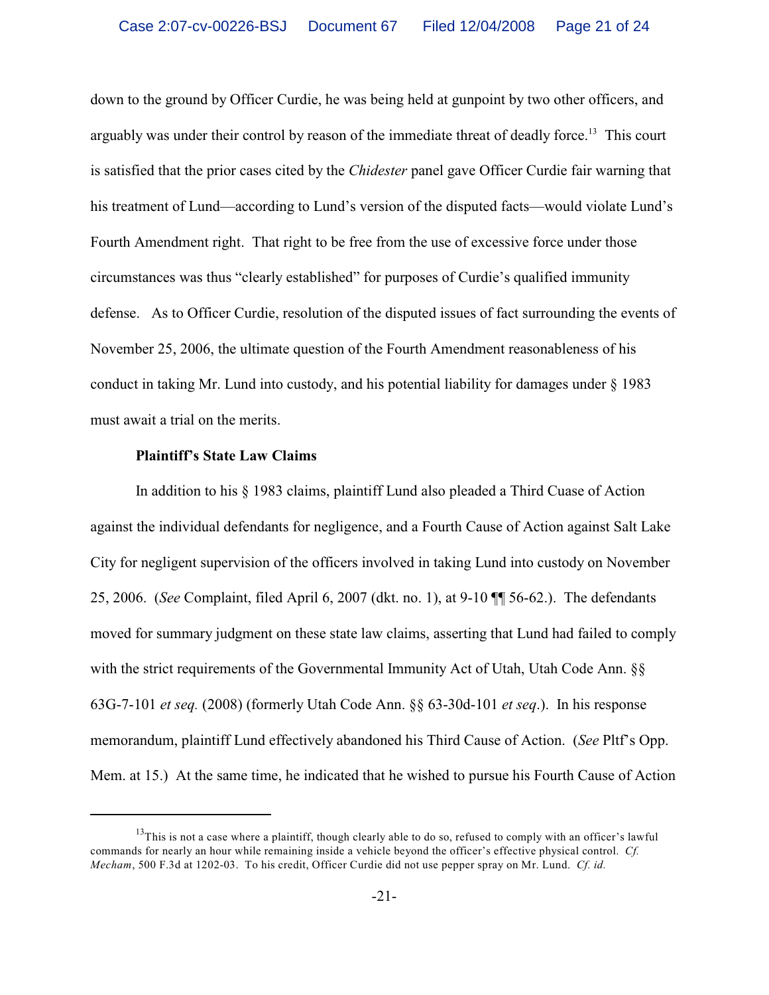down to the ground by Officer Curdie, he was being held at gunpoint by two other officers, and arguably was under their control by reason of the immediate threat of deadly force.<sup>13</sup> This court is satisfied that the prior cases cited by the *Chidester* panel gave Officer Curdie fair warning that his treatment of Lund—according to Lund's version of the disputed facts—would violate Lund's Fourth Amendment right. That right to be free from the use of excessive force under those circumstances was thus "clearly established" for purposes of Curdie's qualified immunity defense. As to Officer Curdie, resolution of the disputed issues of fact surrounding the events of November 25, 2006, the ultimate question of the Fourth Amendment reasonableness of his conduct in taking Mr. Lund into custody, and his potential liability for damages under § 1983 must await a trial on the merits.

## **Plaintiff's State Law Claims**

In addition to his § 1983 claims, plaintiff Lund also pleaded a Third Cuase of Action against the individual defendants for negligence, and a Fourth Cause of Action against Salt Lake City for negligent supervision of the officers involved in taking Lund into custody on November 25, 2006. (*See* Complaint, filed April 6, 2007 (dkt. no. 1), at 9-10 ¶¶ 56-62.). The defendants moved for summary judgment on these state law claims, asserting that Lund had failed to comply with the strict requirements of the Governmental Immunity Act of Utah, Utah Code Ann. §§ 63G-7-101 *et seq.* (2008) (formerly Utah Code Ann. §§ 63-30d-101 *et seq*.). In his response memorandum, plaintiff Lund effectively abandoned his Third Cause of Action. (*See* Pltf's Opp. Mem. at 15.) At the same time, he indicated that he wished to pursue his Fourth Cause of Action

 $13$ This is not a case where a plaintiff, though clearly able to do so, refused to comply with an officer's lawful commands for nearly an hour while remaining inside a vehicle beyond the officer's effective physical control. *Cf. Mecham*, 500 F.3d at 1202-03. To his credit, Officer Curdie did not use pepper spray on Mr. Lund. *Cf. id.*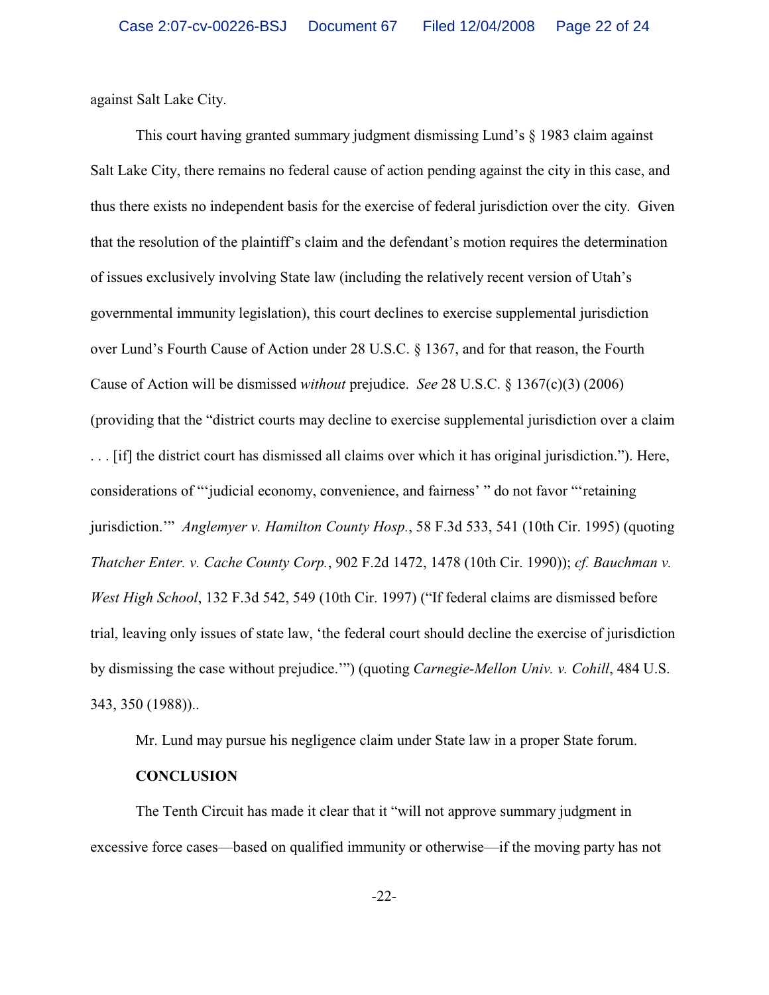against Salt Lake City.

This court having granted summary judgment dismissing Lund's § 1983 claim against Salt Lake City, there remains no federal cause of action pending against the city in this case, and thus there exists no independent basis for the exercise of federal jurisdiction over the city. Given that the resolution of the plaintiff's claim and the defendant's motion requires the determination of issues exclusively involving State law (including the relatively recent version of Utah's governmental immunity legislation), this court declines to exercise supplemental jurisdiction over Lund's Fourth Cause of Action under 28 U.S.C. § 1367, and for that reason, the Fourth Cause of Action will be dismissed *without* prejudice. *See* 28 U.S.C. § 1367(c)(3) (2006) (providing that the "district courts may decline to exercise supplemental jurisdiction over a claim . . . [if] the district court has dismissed all claims over which it has original jurisdiction."). Here, considerations of "'judicial economy, convenience, and fairness' " do not favor "'retaining jurisdiction.'" *Anglemyer v. Hamilton County Hosp.*, 58 F.3d 533, 541 (10th Cir. 1995) (quoting *Thatcher Enter. v. Cache County Corp.*, 902 F.2d 1472, 1478 (10th Cir. 1990)); *cf. Bauchman v. West High School*, 132 F.3d 542, 549 (10th Cir. 1997) ("If federal claims are dismissed before trial, leaving only issues of state law, 'the federal court should decline the exercise of jurisdiction by dismissing the case without prejudice.'") (quoting *Carnegie-Mellon Univ. v. Cohill*, 484 U.S. 343, 350 (1988))..

Mr. Lund may pursue his negligence claim under State law in a proper State forum.

## **CONCLUSION**

The Tenth Circuit has made it clear that it "will not approve summary judgment in excessive force cases—based on qualified immunity or otherwise—if the moving party has not

-22-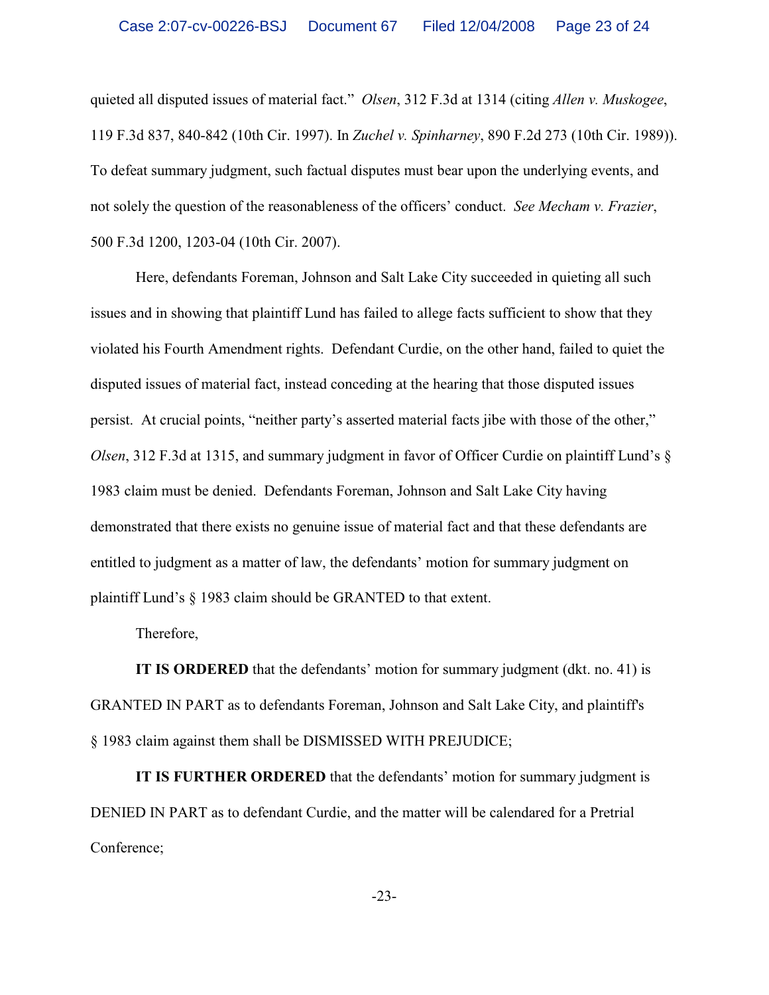quieted all disputed issues of material fact." *Olsen*, 312 F.3d at 1314 (citing *Allen v. Muskogee*, 119 F.3d 837, 840-842 (10th Cir. 1997). In *Zuchel v. Spinharney*, 890 F.2d 273 (10th Cir. 1989)). To defeat summary judgment, such factual disputes must bear upon the underlying events, and not solely the question of the reasonableness of the officers' conduct. *See Mecham v. Frazier*, 500 F.3d 1200, 1203-04 (10th Cir. 2007).

Here, defendants Foreman, Johnson and Salt Lake City succeeded in quieting all such issues and in showing that plaintiff Lund has failed to allege facts sufficient to show that they violated his Fourth Amendment rights. Defendant Curdie, on the other hand, failed to quiet the disputed issues of material fact, instead conceding at the hearing that those disputed issues persist. At crucial points, "neither party's asserted material facts jibe with those of the other," *Olsen*, 312 F.3d at 1315, and summary judgment in favor of Officer Curdie on plaintiff Lund's § 1983 claim must be denied. Defendants Foreman, Johnson and Salt Lake City having demonstrated that there exists no genuine issue of material fact and that these defendants are entitled to judgment as a matter of law, the defendants' motion for summary judgment on plaintiff Lund's § 1983 claim should be GRANTED to that extent.

Therefore,

**IT IS ORDERED** that the defendants' motion for summary judgment (dkt. no. 41) is GRANTED IN PART as to defendants Foreman, Johnson and Salt Lake City, and plaintiff's § 1983 claim against them shall be DISMISSED WITH PREJUDICE;

**IT IS FURTHER ORDERED** that the defendants' motion for summary judgment is DENIED IN PART as to defendant Curdie, and the matter will be calendared for a Pretrial Conference;